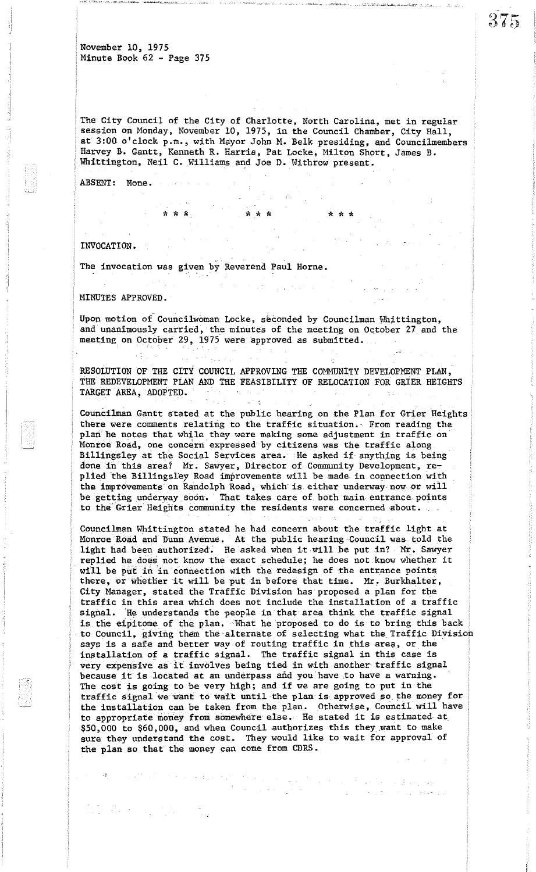The City Council of the City of Charlotte, North Carolina, met in regular session on Monday, November 10, 1975, in the Council Chamber, City Hall, at 3:00 o'clock p.m., with Mayor John M. Belk presiding, and Councilmembers Harvey B. Gantt, Kenneth R. Harris, Pat Locke, Milton Short, James B. Whittington, Neil C. Williams and Joe D. Withrow present.

\* \* \* \*\* \* \* \* \*

ABSENT: None.

## INVOCATION •

i

The invocation was given by Reverend Paul Horne. k Terr

MINUTES APPROVED.

Upon motion of Councilwoman Locke, seconded by Councilman 'Whittington, and unanimously carried, the minutes of the meeting on October 27 and the meeting on October 29,1975 were approved as submitted.

RESOLUTION OF THE CITY COUNCIL APPROVING THE COMMUNITY DEVELOPMENT PLAN, THE REDEVELOPMENT PLAN AND THE FEASIBILITY OF RELOCATION FOR GRIER HEIGHTS TARGET AREA, ADOPTED.

Councilman Gantt stated at the public hearing on the Plan for Grier Heights there were comments relating to the traffic situation. From reading the plan he notes that while they were making some adjustment in traffic on Montoe Road, one concern'expressed'by citizens was the traffic along Billingsley at the Social Services area. He asked if anything is being done in this area? Mr. Sawyer, Director of Community Development, replied the Billingsley Road improvements will be made in connection with the improvements on Randolph Road, which is either underway now or will be getting underway soon. That takes care of, both main entrance points to the Grier Heights community the residents were concerned about.

Councilman Whittington stated he had concern about the traffic light at Monroe Road and Dunn Avenue. At the public hearing 'Council was told the light had been authorized. He asked when it will be put in? Mr. Sawyer replied he does not know the exact schedule; he does not know whether it will be put in in connection with the redesign of the entrance points there, or whether it will be put in before that time. Mr. Burkhalter, City Manager, stated the Traffic Division has proposed a plan for the traffic in this area which does not include the installation of a traffic signal. 'He understands the people in that area think the traffic signal is the eipitome of the plan. What he proposed to do is to bring this back to Council, giving them the alternate of selecting what the Traffic Division says is a safe and better way of routing traffic in this area, or the installation of a traffic signal. The traffic signal in this case is very expensive as it involves being tied in with another traffic signal because it is located at an underpass and you have to have a warning. The cost is going to be very high; and if we are going to put in the traffic signal we want to wait until the plan is approved so the money for the installation can be taken from the plan. Otherwise, Council will have to appropriate money from somewhere else. He stated it is estimated at \$50,000 to \$60,000, and when Council authorizes this they ,want to make sure they understand the cost. They would like to wait for approval of the plan so that the money can come from CDRS.

 $\label{eq:2.1} \mathcal{A}=\mathcal{A}^{\dagger}=\mathcal{A}^{\dagger}=\mathcal{A}^{\dagger}=\mathcal{A}^{\dagger}=\mathcal{A}^{\dagger}=\mathcal{A}^{\dagger}=\mathcal{A}^{\dagger}$ 

 $\frac{1}{2}\left(\frac{1}{2}\left(\frac{1}{2}\right)-\frac{1}{2}\left(\frac{1}{2}\right)-\frac{1}{2}\left(\frac{1}{2}\right)\right)\left(\frac{1}{2}\left(\frac{1}{2}\right)-\frac{1}{2}\left(\frac{1}{2}\right)\right)\right)$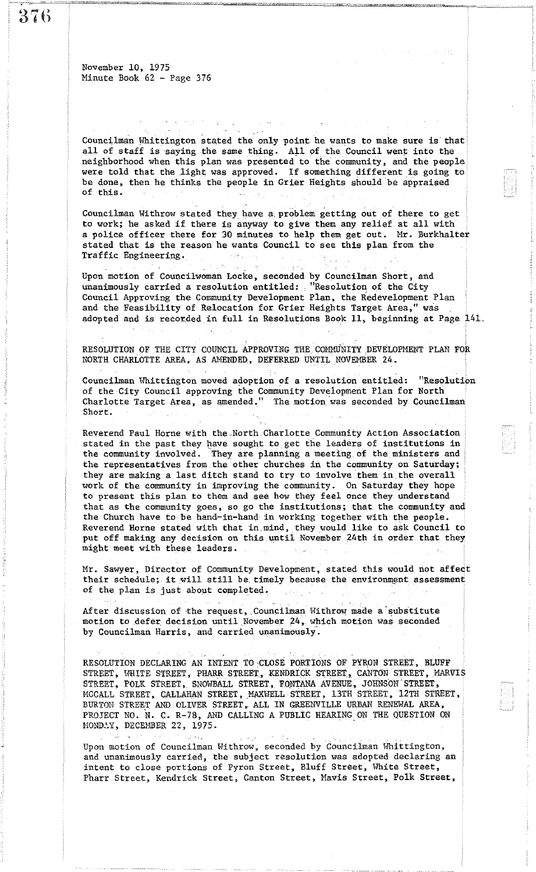$\frac{1}{2}$  (1)

November 10, 1975 Minute Book 62 - Page 376

Councilman Whittington stated the only point he wants to make sure is that all of staff is saying the same thing. All of the Council went into the neighborhood when this plan was presented to the community, and the people were told that the light was approved. If something different is going to be done, then he thinks the people in Grier Heights should be appraised of this.

Councilman Withrow stated they have a,problem, getting out of there to get to work; he asked if there is anyway to give them any relief at all with a police officer there for 30 minutes to help them get out. Mr. Burkhalter stated that is the reason he wants Council to see this plan from the Traffic Engineering.

Upon motion of Councilwoman Locke, seconded by Councilman Short, and unanimously carried a resolution entitled: "Resolution, of the City Council Approving the Community Development Plan, the Redevelopment Plan and the Feasibility of Relocation for Grier Heights Target Area," was adopted and is recorded in full in Resolutions Book 11, beginning at Page 141,

RESOLUTION OF THE CITY COUNCIL APPROVING THE COMMUNITY DEVELOPMENT PLAN FOR NORTH CHARLOTTE AREA, AS AMENDED, DEFERRED UNTIL NOVEMBER 24.

Councilman Whittington moved adoption of a resolution entitled: "Resolution of the City Council approving the Community Development Plan for North Charlotte Target Area, as amended." The motion was seconded by Councilman Short.

Reverend Paul Horne with the North Charlotte Community Action Association stated in the past they have sought to get the leaders of institutions in the community involved. They are planning a meeting of the ministers and the representatives from the other churches in the community on Saturday; they are making a last ditch stand to try to involve them in the overall work of the community in improving the community. On Saturday they hope to present this plan to them and see how they feel Once they understand that as the community goes, so go the institutions; that the community and the Church have to be hand-in-hand in working together with the people. Reverend Horne stated with that in,mind, they would like to ask Council to put off making any decision on this until November 24th in order that they might meet with these leaders.

Mr. Sawyer, Director of Community Development, stated this would not affect their schedule; it will still be timely because the environment assessment of the plan is just about completed.

After discussion of the request, Councilman Withrow made a substitute motion to defer decision until November 24, which motion was seconded by Councilman Harris, and carried unanimously.

RESOLUTION DECLARING AN INTENT TO CLOSE PORTIONS OF PYRON STREET, BLUFF STREET, WHITE STREET, PHARR STREET, KENDRICK STREET, CANTON STREET, MARVIS STREET, POLK STREET, SNOWBALL STREET, FONTANA AVENUE, JOHNSON STREET, MCCALL STREET, CALLAHAN STREET, MAXWELL STREET, 13TH STREET, 12TH STREET, BURTON STREET AND OLIVER STREET, ALL IN GREENVILLE URBAN RENEWAL AREA, PROJECT NO. N. C. R-78, AND CALLING A PUBLIC HEARING ON THE QUESTION ON MONDAY, DECEMBER 22, 1975.

Upon motion of Councilman Withrow, seconded by Councilman Whittington, and unanimously carried, the subject resolution was adopted declaring an intent to close portions of Pyron Street, Bluff Street, White Street, Pharr Street, Kendrick Street, Canton Street, Mavis Street, Polk Street,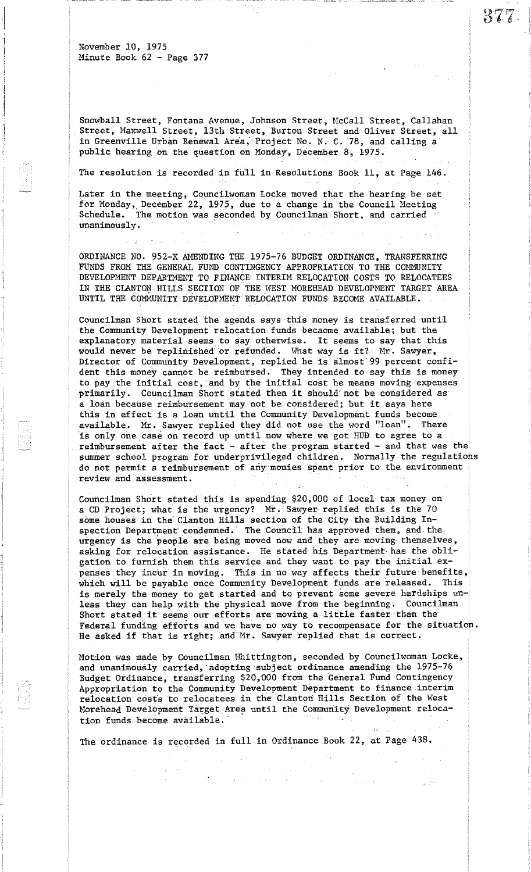Snowball Street, Fontana Avenue, Johnson Street, McCall Street, Callahan Street, Maxwell Street, 13th Street, Burton Street and Oliver Street, all in Greenville Urban Renewal Area, Project No. N. C. 78, and calling a public hearing on the question on Monday, December 8, 1975.

377

The resolution is recorded in full in Resolutions Book 11, at Page 146.

Later in the meeting, Councilwoman Locke moved that the hearing be set for Monday, December 22, 1975, due to a change in the Council Meeting Schedule. The motion was seconded by Councilman Short, and carried unanimously.

ORDINANCE NO. 952-X AMENDING THE 1975-76 BUDGET ORDINANCE, TRANSFERRING FUNDS FROM THE GENERAL FUND CONTINGENCY APPROPRIATION TO THE COMMUNITY DEVELOPMENT DEPARTMENT TO FINANCE INTERIM RELOCATION COSTS TO RELOCATEES IN THE CLANTON HILLS SECTION OF THE WEST MOREHEAD DEVELOPMENT TARGET AREA UNTIL THE COMMUNITY DEVELOPMENT RELOCATION FUNDS BECOME AVAILABLE.

Councilman Short stated the agenda says this money is transferred until the Community Development relocation funds becaome available; but the explanatory material seems to say otherwise. It seems to say that this would never be replinished or refunded. What way is it? Mr. Sawyer, Director of Community Development, replied he is almost 99 percent confident this money cannot be reimbursed. They intended to say this is money to pay the initial cost, and by the initial cost he means moving expenses primarily. Councilman Short stated then it should'not be considered as <sup>a</sup> loan because reimbursement may not be considered; but it says here this in effect is a loan until the Community Development funds become available. Mr. Sawyer replied they did not use the word "loan". There is only one case on record up until now where we got HUD to agree to a reimbursement after the fact - after the program started - and that was the summer school program for underprivileged children. Normally the regulations do not permit a reimbursement of any monies spent prior to the environment review and assessment.

Councilman Short stated this is spending \$20,000 of 'local tax money on a CD Project; what is the urgency? Mr. Sawyer replied this is the 70 some houses in the Clanton Hills section of the City the Building Inspection Department condemned. The Council has approved them, and the urgency is the people are being moved now and they are moving themselves, asking for relocation assistance. He stated his Department has the obligation to furnish them this service and they want to pay the initial expenses they incur in moving. This in no way affects their future· benefits, which will be payable once Community Development funds are released. This is merely the money to get started and to prevent some severe hardships unless they can help with the physical move from the beginning. Councilman Short stated it seems our efforts are moving <sup>a</sup> little faster ·than the' Federal funding efforts and we have no way to recompensate for the situation. He asked if that is right; and Mr. Sawyer replied that is correct.

Motion was made by Councilman Whittington, seconded by Councilwoman Locke, and unanimously carried, adopting subject ordinance amending the 1975-76 Budget Ordinance, transferring \$20,000 from the General Fund Contingency Appropriation to the Community Development Department to finance interim relocation costs to relocatees in the Clanton Hills Section of the West Morehead Development Target Area until the Community Development relocation funds become available. '

a de la companya de la companya de la companya de la companya de la companya de la companya de la companya de<br>La companya de la companya de la companya de la companya de la companya de la companya de la companya de la co

 $\sim 10^{11}$  and  $\sim 10^{11}$ 

The ordinance is recorded in full in Ordinance Book 22, at Page 438.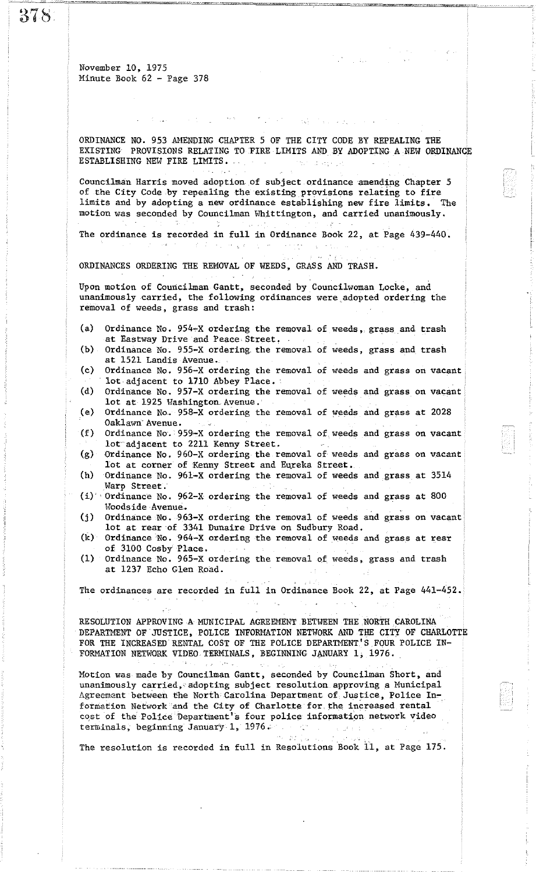37S

November 10, 1975 Minute Book 62 - Page 378

ORDINANCE NO. 953 AMENDING CHAPTER 5 OF THE CITY CODE BY REPEALING THE EXISTING PROVISIONS RELATING TO FIRE LIMITS AND BY ADOPTING A NEW ORDINANCE ESTABLISHING NEW FIRE LIMITS.

 $\mathcal{N}=\sqrt{2\pi\omega}$ 

**Captain Carl Carl Co** 

Councilman Harris moved adoption of subject ordinance amending Chapter 5 of the City Code by repealing the existing provisions relating to fire limits and by adopting a new ordinance establishing new fire limits. The motion was seconded by Councilman Whittington, and carried unanimously.

The ordinance is recorded in full in Ordinance Book 22, at Page 439-440. **CONTRACTOR** CARDS  $\sim$   $\sim$   $\sim$   $\sim$   $\sim$ 

ORDINANCES ORDERING THE REMOVAL OF WEEDS, GRASS AND TRASH.

 $\label{eq:2.1} \mathcal{L}_{\mathcal{A}}\left(\mathcal{L}_{\mathcal{A}}\right)=\mathcal{L}_{\mathcal{A}}\left(\mathcal{L}_{\mathcal{A}}\right)=\mathcal{L}_{\mathcal{A}}\left(\mathcal{L}_{\mathcal{A}}\right)=\mathcal{L}_{\mathcal{A}}\left(\mathcal{L}_{\mathcal{A}}\right)=\mathcal{L}_{\mathcal{A}}\left(\mathcal{L}_{\mathcal{A}}\right)=\mathcal{L}_{\mathcal{A}}\left(\mathcal{L}_{\mathcal{A}}\right)$ 

Upon motion of Councilman Gantt, seconded by Councilwoman Locke, and unanimously carried, the following ordinances were ,adopted ordering the removal of weeds, grass and trash:

- (a) Ordinance No. 954-X ordering the removal of weeds, grass and trash at Eastway Drive and Peace Street.
- (b) Ordinance No. 955-X ordering. the removal of weeds, grass and trash at 1521 Landis Avenue.
- (c) Ordinance No. 956-X ordering the removal of weeds and grass on vacant lot adjacent to 1710 Abbey Place.
- (d) Ordinance No. 951-X ordering the removal of weeds and grass on vacant lot at 1925 Washington Avenue.
- (e) Ordinance No.. 958-X ordering the removal of weeds and grass at 2028 Oaklawn Avenue.
- (f) Ordinance No. 959\_\_X ordering the removal of weeds and grass on vacant lot-adjacent to 2211 Kenny Street.
- (g) ·Ordinance No, 960-X ordering the removal of weeds and grass on vacant lot at corner of Kenny Street and Eureka Street.
- (h) Ordinance No. 96l-X ordering the removal of weeds and grass at 3514
- $(i)$  Ordinance No. 962-X ordering the removal of weeds and grass at 800 Woodside Avenue.
- (j) Ordinance No. 963-X ordering the removal of weeds and grass on vacant lot at rear 'of 3341 Dunaire Drive on Sudbury Road.
- $(k)$  Ordinance No. 964-X ordering the removal of weeds and grass at rear of 3100 Cosby Place ,
- (1) Ordinance No. 965-X ordering the removal of weeds, grass and trash at 1237 Echo Glen Road.

The ordinances are recorded in full in Ordinance Book 22, at Page 441-452.

RESOLUTION APPROVING A MUNICIPAL AGREEMENT BETWEEN THE NORTH CAROLINA DEPARTMENT OF JUSTICE, POLICE INFORMATION NETWORK AND THE CITY OF CHARLOTTE FOR THE INCREASED RENTAL COST OF THE POLICE DEPARTMENT'S FOUR POLICE IN-FORMATION NETWORK VIDEO TERMINALS, BEGINNING JANUARY 1, 1976.

Motion was made by Councilman Gantt, seconded by Councilman Short, and unanimously carried, adopting subject resolution approving a Municipal Agreement between the North Carolina Department of Justice, Police Information Network and the City of Charlotte for the increased rental cost of the Police Department's four police information network video terminals, beginning January 1, 1976.

The resolution is recorded in full in Resolutions Book 11, at Page 175.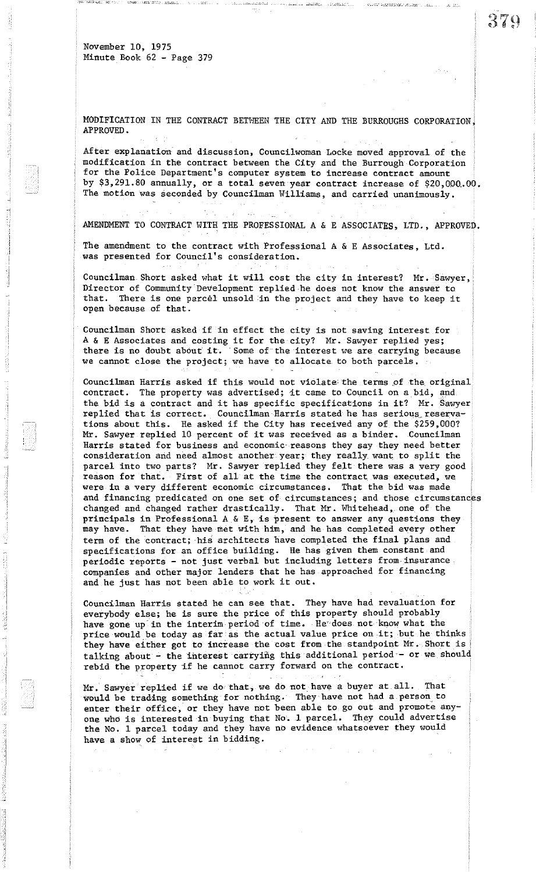MODIFICATION IN THE CONTRACT BETWEEN THE CITY AND THE BURROUGHS CORPORATION. APPROVED.

After explanation and discussion, Councilwoman Locke moved approval of the modification in the contract between the City and the Burrough Corporation for the Police Department's computer system to increase contract amount by \$3,291.80 annually, or a total seven year contract increase of \$20,000.00. The motion was seconded by Councilman Williams, and carried unanimously.

AMENDMENT TO CONTRACT WITH THE PROFESSIONAL A & E ASSOCIATES, LTD., APPROVED.

The amendment to the contract with Professional A & E Associates, Ltd. was presented for Council's consideration.

Councilman Short asked what it will cost the city in interest? Mr. Sawyer, Director of Community Development replied he does not know the answer to that. There is one parcel unsold :in the project and they have to keep it open because of that.

Councilman Short asked if in effect the city is not saving interest for <sup>A</sup> & <sup>E</sup> Associates and costing it for the city? Mr. Sawyer replied yes; there is no doubt about it. Some of the interest we are carrying because we cannot close the project; we have to allocate to both parcels.

Councilman Harris asked if this would not violate the terms of the original contract. The property was advertised; it came to Council on <sup>a</sup> bid, and the bid is a contract and it has specific specifications in it? Mr. Sawyer replied that is correct. Councilman Harris stated he has serious\_reservations about this. He asked if the City has received any of the \$259,000? Mr. Sawyer replied <sup>10</sup> percent of it was received as <sup>a</sup> binder. Councilman Harris stated for business and economic' reasons they say they need better consideration and need almost another year; they really want to split the parcel into two parts? Mr. Sawyer replied they felt there was a very good reason for that. First of all at the time the contract was executed, we were in a very different economic circumstances. That the bid was made and financing predicated on one set of circumstances; and those circumstances changed and changed rather drastically. That Mr. Whitehead, one of the principals in Professional A & E, is present to answer any questions they may have. That they have met with him, and he has completed every other term of the contract; his architects have completed the final plans and specifications for an office building. He has given them constant and periodic reports - not just verbal but including letters from· insurance companies and other major lenders that he has approached for financing and he just has not been able to work it out.

Councilman Harris stated he can see that. They have had revaluation for everybody else; he is sure the price of this property should probably have gone up in the interim period of time. He does not know what the price would be today as far'as the actual value price on it; but he thinks they have either got to increase the cost from the standpoint Mr. Short is talking about - the interest carrying this additional period - or we should rebid the property if he cannot carry forward on the contract.

Mr. Sawyer replied if we do that, we do not. have <sup>a</sup> buyer at all. That would be trading something for nothing. They have not had a person, to enter their office, or they have not been able to go out and promote anyone who is interested in buying that No. 1 parcel. They could advertise the No. 1 parcel today and they have no evidence whatsoever they would have a show of interest in bidding.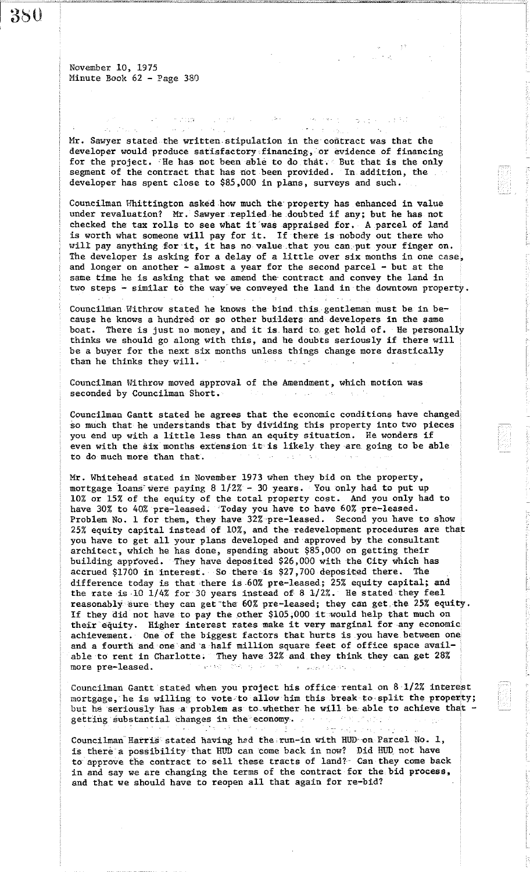$\omega_{\infty} = \omega_{\infty}^{n-1} \left( \omega_{\infty} - \omega_{\infty} \right)$  $\epsilon$  , where state of the State Mr. Sawyer stated the written stipulation in the oontract was that the developer would produce satisfactory financing, or evidence of financing for the project. He has not been able to do that. But that is the only segment of the contract that has not been provided. In addition, the developer has spent close to \$85,000 in plans, surveys and such.

 $\label{eq:3.1} \mathcal{O}(\mathcal{P}(\mathcal{O})\mathcal{P}(\mathcal{O}(\mathcal{O})))\otimes \mathcal{O}(\mathcal{O}(\mathcal{O}(\mathcal{O})))\otimes \mathcal{O}(\mathcal{O}(\mathcal{O})))$ 

 $\label{eq:2.1} \mathcal{A}^{\text{in}} = \{ \mathcal{A} \text{ in } \mathbb{R}^d \mid \mathcal{A} \in \mathcal{B}^{\text{in}} \} \text{ for all } \mathbb{R}^d \in \mathcal{A}^{\text{in}} \text{ and } \mathbb{R}^d \in \mathcal{A}^{\text{in}} \text{ and } \mathbb{R}^d \text{ is a finite.} \text{ and } \mathbb{R}^d \text{ is a finite.}$ 

والي المحا

Councilman Whittington asked how much the property has enhanced in value under revaluation? Mr. Sawyer replied he doubted if any; but he has not checked the tax rolls to see what it'was appraised for. A parcel of land is worth what someone will pay for it. If there is nobody out there who will pay anything for it, it has no value that you can put your finger on. The developer is asking for a delay of a little over six months in one case, and longer on another  $-$  almost a year for the second parcel  $-$  but at the same time he is asking that we amend the· contract and convey the land in two steps - similar to the way we conveyed the land in the downtown property.

Councilman Withrow stated he knows the bind this gentleman must be in because he knows a hundred or so other builders and developers in the same boat. There is just no money, and it is hard to. get hold of. He personally thinks we should go along with this, and he doubts seriously if there will be a buyer for the next six months unless things change more drastically than he thinks they will.

Councilman Withrow moved approval of the Amendment, which motion was seconded by Councilman Short.  $\sim 10^{-1}$ 

Councilman Gantt stated he agrees that the economic conditions have changed so much that he understands that by dividing this property into two pieces you end up with <sup>a</sup> little less than an equity situation. He wonders if even with the six months extension it is likely they·are. going to be able to do much more than that.

Mr. Whitehead stated in November 1973 when they bid on the property, mortgage loans'were paying 8 *1/2%* - 30 years. You only had to put up 10% or 15% of the equity of the total property cost. And you only had to have 30% to 40% pre-leased. 'Today you have to have 60% pre-leased. Problem No. 1 for them, they have 32%-pre-leased. Second you have to show 25% equity capital instead of 10%, and the redevelopment procedures are that you have to get all your plans developed and'approved by the consultant architect, which he has done, spending about \$85,000 on getting their building approved. They have deposited \$26,000 with the City which has accrued \$1700 in interest. So there is \$27,700 deposited there. The difference today is that there is 60% pre-leased; 25% equity capital; and the rate is 10  $1/4\%$  for 30 years instead of 8  $1/2\%$ . He stated they feel reasonably sure they can get the 60% pre-leased; they can get the 25% equity. If they did not have to pay the other \$105,000 it would help that much on their equity. Higher interest rates make it very marginal for any economic achievement. One of the biggest factors that hurts is you have between one and a fourth and one'and'a half million square feet of office space available to rent in Charlotte. They have 32% and they think they can get 28% more pre-leased. more pre-leased. a Calvar Chan

Councilman Gantt stated when you project his office rental on 81/2% interest mortgage,' he is willing to vote-to allow him this break to-split the properfty; but he seriously has a problem as to whether he will be able to achieve that getting substantial changes in the economy.

Councilman Harris stated having had the run-in with HUD on Parcel No. 1, is there's possibility that HUD can come back in now? Did HUD not have to approve the contract to sell these tracts of land? Can they come back in and say we are changing the terms of the contract for the bid process, and that we should have to reopen all that again for re-bid?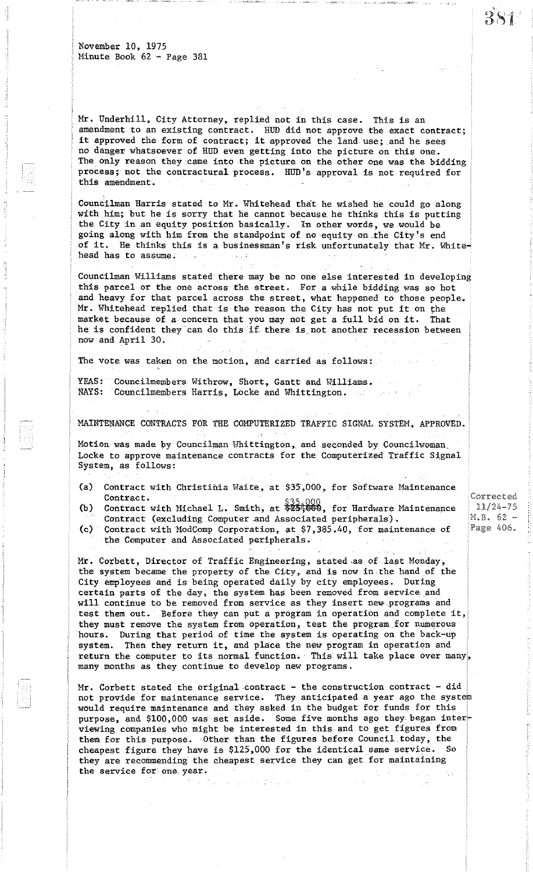Mr. Underhill, City Attorney, replied not in this case. This is an amendment to an existing contract. HUD did not approve the exact contract; it approved the form of contract; it approved the land use; and he sees no danger whatsoever of HUD even getting into the picture on this one. The only reason they came into the picture on the other one was the bidding process; not the contractural process. HUD's approval is not required for this amendment.

Councilman Harris stated to Mr. Whitehead that he wished he could go along with him; but he is sorry that he cannot because. he thinks this is putting the City in an equity position basically. In other words, we would be going along with him from the standpoint of no equity on the City's end of it. He thinks this is a businessman's risk unfortunately that Mr. Whitehead has to assume.  $\mathcal{F}_{\text{out}}$  )

Councilman Williams stated there may be no one else interested in this parcel or the one across the street. For a·while bidding was so hot and heavy for that parcel across the street, what happened to those people. Mr. Whitehead replied that is the reason the City has not put it on the market because of <sup>a</sup> concern that you may not get <sup>a</sup> full bid on it. That he is confident they can do this if there is not another recession between now and April 30.

The vote was taken on the motion, and carried as follows:

YEAS: Councilmembers Withrow, Short, Gantt and Williams. NAYS: Councilmembers Harris, Locke and Whittington.

MAINTENANCE CONTRACTS FOR THE COMPUTERIZED TRAFFIC SIGNAL SYSTEM, APPROVED.

Motion was made by Councilman Whittington, and seconded by Councilwoman. Locke to approve maintenance contracts for the Computerized Traffic Signal System, as follows:

- (a) Contract with Christinia Waite, at *\$3S,000,* for Software Maintenance
- (b) Contract.<br>Contract with Michael L. Smith, at \$23,000, for Hardware Maintenance Contract (excluding Computer and Associated peripherals).
- (c) Contract with ModComp Corporation, at \$7,385.40, for maintenance of the Computer and Associated peripherals.

Mr. Corbett, Director of Traffic Engineering, stated.as of last Monday, the system became the property of the City, and is now in·the hand of the City employees and is being operated daily by city employees. During certain parts of the day, the system has been removed from service and will continue to be removed from service as they insert new programs and test them out. Before they can put <sup>a</sup> program in operation and complete it, they must remove the system from operation, test the program.for numerous hours. During that period of time the system is operating on the back-up system. Then they return it, and place the new program in operation and return the computer to its normal function. This will take place over many, many months as they continue to develop new programs.

Mr. Corbett stated the original.contract - the construction contract - did not provide for maintenance service. They anticipated a year ago the would require maintenance and they asked in the budget for funds for this purpose, and \$100,000 was set aside. Some five months ago they began interviewing companies who might be interested in this and to get figures from them for this purpose. Other than the figures before Council today, the cheapest figure they have is \$125,000 for the identical same service. So they are recommending the cheapest service they can get for maintaining the service for one. year.

 $\label{eq:2.1} \mathcal{L}=\mathcal{L}^2\left(\mathcal{L}^2\right)\mathcal{L}^2\left(\mathcal{L}^2\right)\mathcal{L}^2\left(\mathcal{L}^2\right)\mathcal{L}^2.$ 

Corrected 11/24-75  $M.B. 62 -$ Page 406.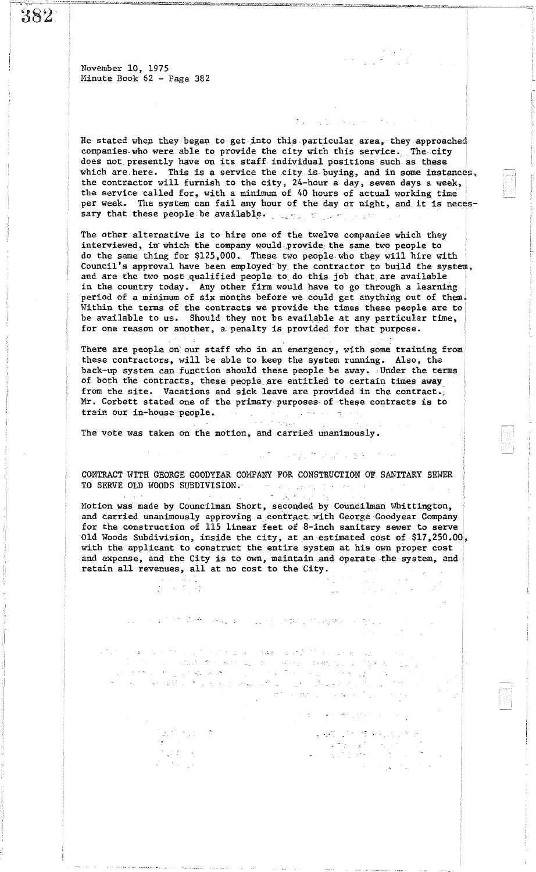382

November 10, 1975 Minute Book 62 - Page 382

He stated when they began to get into this particular area, they approached companies who were able to provide the city with this service. The city does not. presently have on its staff. individual positions such as these which are here. This is a service the city is buying, and in some instances, the contractor will furnish to the city, 24-hour a day, seven days a week, the service called for, with a minimum of 40 hours of actual working time per week. The system can fail any hour of the day or night, and it is necessary that these people be available.

~-

The other alternative is to hire one of the twelve companies which they interviewed, in' which the company wou1d,.provide· the same two people to do the same thing for \$125,000. These two people who they will hire with Council's approval have been employed' by. the contractor to build the system, and are the two most.qualified people to. do this job that, are available in the country today. Any other firm would have to go through a learning period of a minimum of six months before we could get anything out of them. Within the terms of the contracts we provide the times these people are to be available to us. Should they not be available at any particular time, for one reason or another, a penalty is provided for that purpose.

There are people on our staff who in an emergency, with some training from these contractors, will be able to keep the system running. Also, the back-up system can function should these people be away. Under the terms of both the contracts, these people are entitled to certain times away from the site. Vacations and sick leave are provided in the contract. Mr. Corbett stated one of the primary purposes· of these contracts is to train our in-house people.

The vote was taken on the motion, and carried unanimously.

지도 위험

 $\frac{1}{2} \left( \frac{1}{2} \sum_{i=1}^N \frac{1}{2} \right) \frac{1}{2}$ 

 $\mathcal{O}(\frac{1}{\epsilon})$ 

 $\label{eq:3.1} \mathbb{E}\left[\frac{1}{2}f(\mathcal{L})\right]=\mathcal{L}$  $\sim 30\, \mathrm{km}$ 

CONTRACT WITH GEORGE GOODYEAR COMPANY FOR CONSTRUCTION OF SANITARY SEWER TO SERVE OLD WOODS SUBDIVISION.  $\label{eq:3.1} \mathbb{E}\left[\mathcal{D}_{\mathcal{F}}\left(\mathcal{A}\right)\right] \leq \mathbb{E}\left[\mathcal{D}_{\mathcal{F}}\left(\mathcal{F}\right)\right] \leq \mathbb{E}\left[\mathcal{D}_{\mathcal{F}}\left(\mathcal{F}\right)\right] \leq \mathbb{E}\left[\mathcal{D}_{\mathcal{F}}\left(\mathcal{F}\right)\right]$ 

**医肠切除术 计算机系统 计字符** 

 $\mathcal{A}_{\mathcal{C}}$ 

 $\mathcal{O}_{\mathcal{M}}$  .

 $\begin{split} \mathcal{L}_{\text{max}} = \frac{1}{2} \sum_{i=1}^{N} \frac{1}{2} \sum_{j=1}^{N} \mathcal{L}_{\text{max}} \left( \frac{1}{2} \sum_{j=1}^{N} \mathcal{L}_{\text{max}} \left( \frac{1}{2} \sum_{j=1}^{N} \mathcal{L}_{\text{max}} \right) \right) \\ & \mathcal{L}_{\text{max}} = \frac{1}{2} \sum_{j=1}^{N} \frac{1}{2} \sum_{j=1}^{N} \mathcal{L}_{\text{max}} \left( \frac{1}{2} \sum_{j=1}^{N} \mathcal{L}_{\text{max}}$ 

 $\mathcal{L}^{\text{in}}(\mathbb{R}^d)$  , where  $\mathcal{L}^{\text{in}}(\mathbb{R}^d)$  , where  $\mathcal{L}^{\text{in}}(\mathbb{R}^d)$ 

Motion was made by Councilman Short, seconded by Councilman Whittington, and carried unanimously approving a contract with George Goodyear Company for the construction of 115 linear feet of 8-inch sanitary sewer to serve Old Woods Subdivision, inside the city, at an estimated cost of \$17,250.00, with the applicant to construct the entire system at his own proper cost and expense, and the City is to own, maintain and operate the system, and retain all revenues, all at no cost to the City.

等于的 嘉德 网络亚洲 人名尼 计数据的 网络男人 化保险

a na komencia da Maria General<br>Sentida da Sentida Mentaña da

 $\sigma_{\rm{max}} = \frac{1}{2} \sigma_{\rm{max}}$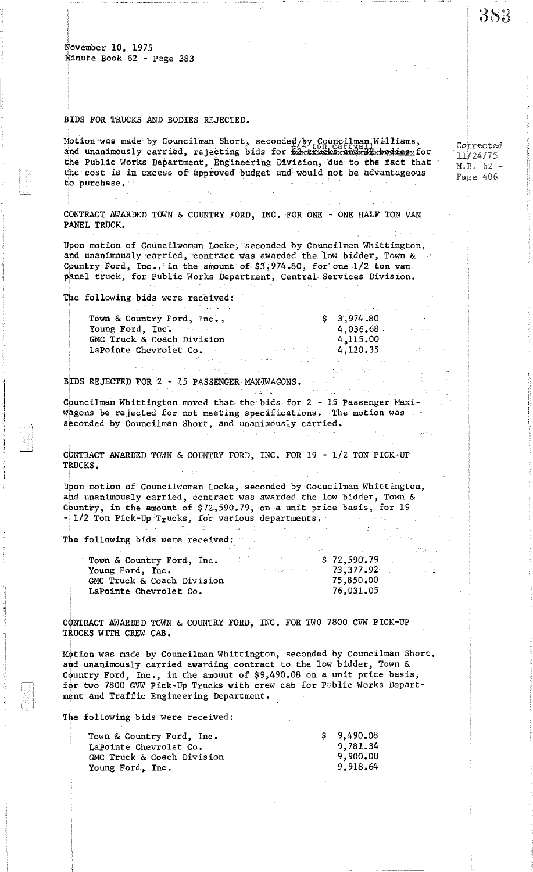## BIDS FOR TRUCKS AND BODIES REJECTED.

Motion was made by Councilman Short, seconded by Councilman Williams, , Motion was made by Councilman Short, seconded by Councilman Williams,<br>and unanimously carried, rejecting bids for 62x xxxeksxandx32xbodiesx for the Public Works Department, Engineering Division, due to the fact that the cost is in excess of approved'budget and'would not be advantageous to purchase.

CONTRACT AWARDED TOWN & COUNTRY FORD, INC. FOR ONE - ONE HALF TON VAN pANEL TRUCK.

 $\mathcal{L} \rightarrow \mathcal{L}$ 

Upon motion of Councilwoman Locke, seconded by Councilman Whittington, and unanimously carried, contract was awarded the low bidder, Town & Country Ford, Inc., in the amount of \$3,974.80, for one 1/2 ton van panel truck, for Public Works Department, Central-Services Division.

The following bids-were received:

'I I

| 그 사람들은 그 사람들은 그 사람들을 만들고 있다. 그 사람들은 그 사람들은 그 사람들은 그 사람들을 만들고 있다. 그 사람들은 그 사람들은 그 사람들을 만들고 있다. | the contract of the contract of the contract of |
|-----------------------------------------------------------------------------------------------|-------------------------------------------------|
| Town & Country Ford, Inc.,                                                                    | \$3,974.80                                      |
| Young Ford, Inc.<br>and the company of the company of                                         | 4,036,68                                        |
| GMC Truck & Coach Division                                                                    | 4,115.00                                        |
| LaPointe Chevrolet Co.                                                                        | 4.120.35                                        |
|                                                                                               |                                                 |

BIDS REJECTED FOR 2 - 15 PASSENGER MAXIWAGONS.

Councilman Whittington moved that· the bids for 2 - 15 Passenger Maxiwagons be rejected for not meeting specifications. The motion was seconded by Councilman Short, and unanimously carried.

CpNTRACT AWARDED TOWN & COUNTRY FORD, INC. FOR 19 - *1/2* TON PICK-UP TRUCKS.

Upon motion of Councilwoman Locke, seconded by Councilman Whittington, ahd unanimously carried, contract was awarded the low bidder, Town & Country, in the amount of \$72,590.79, on a unit price basis, for 19  $-[1/2]$  Ton Pick-Up Trucks, for various departments.

The following bids were received:

| Town & Country Ford, Inc.                         | \$72,590,79  |
|---------------------------------------------------|--------------|
| Young Ford, Inc.<br>of the state and the state of | $-73,377,92$ |
| GMC Truck & Coach Division                        | 75,850.00    |
| LaPointe Chevrolet Co.                            | 76,031,05    |

CONTRACT AWARDED TOWN & COUNTRY FORD, INC. FOR TWO 7800 GVW PICK-UP TRUCKS WITH CREW CAB.

Motion was made by Councilman Whittington, seconded by Councilman Short, and unanimously carried awarding contract to the low bidder, Town & Country Ford, Inc., in the amount of \$9,490.08 on a unit price basis, for two 7800 GVW Pick-Up Trucks with crew cab for Public Works Department and Traffic Engineering Department.

The following bids were received:

| Town & Country Ford, Inc.  | \$9.490.08 |
|----------------------------|------------|
| LaPointe Chevrolet Co.     | 9.781.34   |
| GMC Truck & Coach Division | 9,900.00   |
| Young Ford, Inc.           | 9.918.64   |

Corrected  $11/24/75$ M.B. 62 - Page 406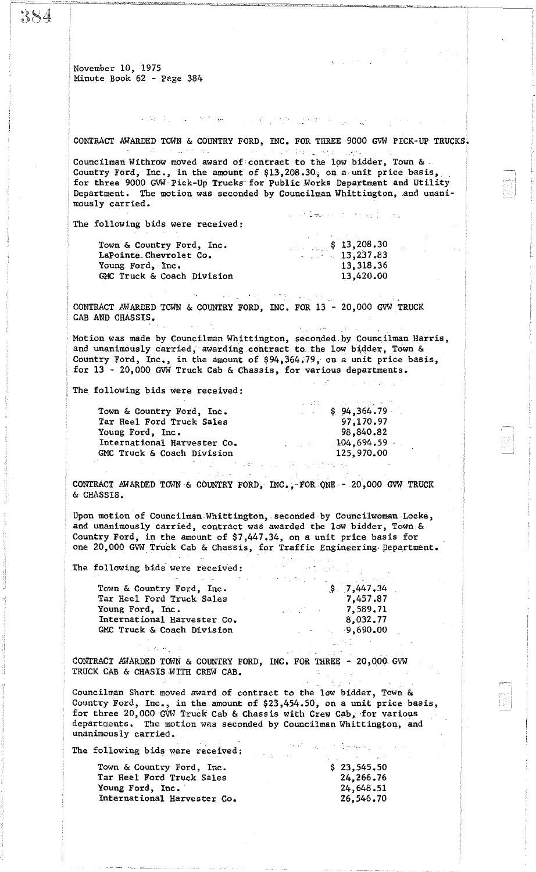CONTRACT AWARDED TOWN & COUNTRY FORD, INC. FOR THREE 9000 GVW PICK-UP TRUCKS. {ina collicity Councilman Withrow moved award of contract to the low bidder, Town & Country Ford, Inc., in the amount of  $$13,208.30$ , on a-unit price basis, for three 9000 GVW'Pick-Up Trucks for Public Works Department and Utility Department. The motion was seconded by Councilman Whittington, and unanimously carried. under Department of the spoon of p The following bids were received:  $$ 13,208.30$ Town & Country Ford, Inc. LaPointe.Chevro1et Co.  $13,237.83$  $\mathbb{R}^n \times \mathbb{R}^n$ Young Ford, Inc. 13,318.36 GMC Truck & Coach Division 13,420.00  $\mathcal{O}(\tau,\tau)$  and  $\mathcal{O}(\tau,\tau)$  $\sim 4-10^6$ CONTRACT AWARDED TOWN & COUNTRY FORD, INC. FOR 13 - 20,000 GVW TRUCK CAB AND CHASSIS.  $\sqrt{2}$ Motion was made by Councilman Whittington, seconded by Councilman Harris, and unanimously carried, awarding contract to the low bidder, Town & Country Ford, Inc., in the amount of \$94,364.79, on a unit price basis, for 13 - 20,000 GVW Truck Cab & Chassis, for various departments. The following bids were received: \$ 94,364.79· Town & Country Ford, Inc. Tar Heel Ford Truck Sales 97,170.97 98,840.82 Young Ford, Inc. International Harvester Co. 104,694.59 GMC Truck & Coach Division 125,970.00 CONTRACT AWARDED TOWN & COUNTRY FORD, INC., FOR ONE - 20,000 GVW TRUCK & CHASSIS. Upon motion of Councilman Whittington, seconded by Councilwoman Locke, and unanimously carried, contract was awarded the low bidder, Town & Country Ford, in the amount of \$7,447.34, on a unit price basis for one 20,000 GVW Truck Cab & Chassis, for Traffic Engineering Department. The following bids' were received: Town & Country Ford, Inc.  $$7,447.34$ Tar Heel Ford Truck Sales 7,457.87 Young Ford, Inc. 7,589.71 International Harvester Co. 8,032.77

网络多克 医阿尔姆氏反射 经经济的 医腰部的 医

CONTRACT AWARDED TOWN & COUNTRY FORD, INC. FOR THREE - 20,000 GVW TRUCK CAB & CRASIS WITH CREW CAB.  $\mathbb{R}^{n}$  .

Councilman Short moved award of contract to the low bidder, Town & Country Ford, Inc., in the amount of \$23,454.50, on a unit price basis, for three 20,000 GVW Truck Cab & Chassis with Crew Cab, for various departments. The motion was seconded by Councilman Whittington, and unanimously carried.

 $-9,690.00$ 

ing<br>Tanggunian Propinsi Propinsi Propinsi  $\sigma_{\rm 200}$ 

The following bids were received:

GMC Truck & Coach Division

| Town & Country Ford, Inc.   | \$23.545.50 |
|-----------------------------|-------------|
| Tar Heel Ford Truck Sales   | 24,266.76   |
| Young Ford, Inc.            | 24,648.51   |
| International Harvester Co. | 26,546.70   |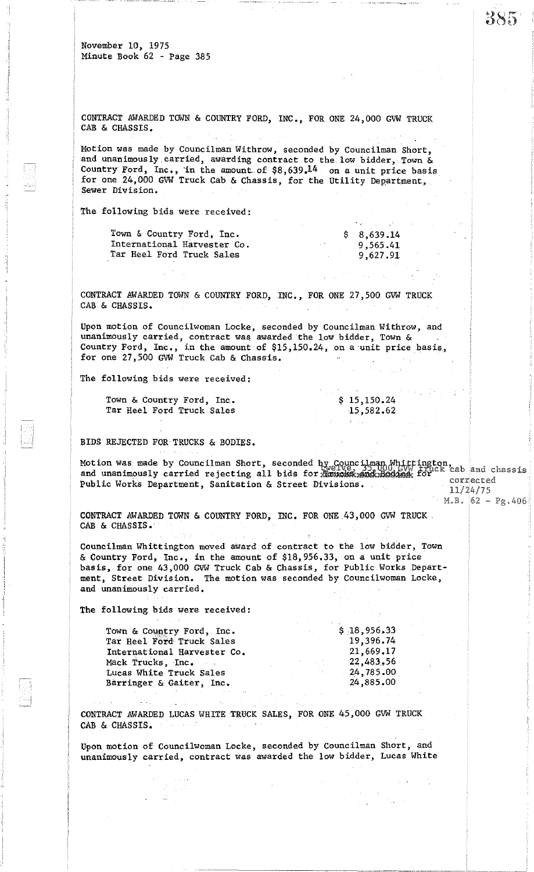CONTRACT AWARDED TOWN & COUNTRY FORD, INC., FOR ONE 24,000 GVW TRUCK CAB & CHASSIS.

Motion was made by Councilman Withrow, seconded by Councilman Short, and unanimously.carried, awarding contract to the low bidder, Town & Country Ford, Inc., in the amount of \$8,639.14 on a unit price basis for one 24,000 GVW Truck Cab & Chassis, for the Utility Department, Sewer Division.

The following bids were received:

| Town & Country Ford, Inc.   | \$8,639.14 |
|-----------------------------|------------|
| International Harvester Co. | 9,565.41   |
| Tar Heel Ford Truck Sales   | 9,627.91   |
|                             |            |

CONTRACT AWARDED TOWN & COUNTRY FORD, INC., FOR ONE 27,500 GVW TRUCK CAB & CHASSIS.

Upon motion of Councilwoman Locke, seconded by Councilman Withrow, and unanimously carried, contract was awarded the low bidder, Town & Country Ford, Inc., in the amount of \$15,150.24, on a unit price basis, for one 27,500 GVW Truck Cab & Chassis. .

The following bids were received:

Town & Country Ford, Inc. Tar Heel Ford Truck Sales

BIDS REJECTED FOR· TRUCKS & BODIES.

Motion was made by Councilman Short, seconded by Councilman Whittington,<br>and unanimously carried rejecting all bids for **Raindas and Bodies** for second that is and unanimously carried rejecting all bids for the model of the form can all public Works Department, Sanitation & Street Divisions.<br>Public Works Department, Sanitation & Street Divisions.  $11/24/75$ 

 $\mathcal{N}$ 

\$ 15,150.24 15,582.62

 $M.B. 62 - Pg.406$ 

 $\mathcal{L}_{\mathcal{D}}$ 

CONTRACT AWARDED TOWN & COUNTRY FORD, INC. FOR ONE 43,000 GVW TRUCK. CAB & CHASSIS.

Councilman Whittington moved award of contract to the low bidder, Town & Country Ford, Inc., in the amount of \$18,956.33, on a unit price basis, for one 43,000 OVW Truck Cab & Chassis, for Public Works Department, Street Division. The motion was seconded by Councilwoman Locke, and unanimously carried.

The following bids were received:

| \$18,956,33<br><b>Contractor</b> |
|----------------------------------|
| 19,396.74                        |
| 21,669.17                        |
| 22,483,56<br>時間 中間 かい            |
| 24,785.00                        |
| 24,885.00                        |
|                                  |

CONTRACT AWARDED LUCAS WHITE TRUCK SALES, FOR ONE 45,000 OVW TRUCK CAB & CHASSIS.

Upon motion of Councilwoman Locke, seconded by Councilman Short, and unanimously carried, contract was awarded the low bidder, Lucas White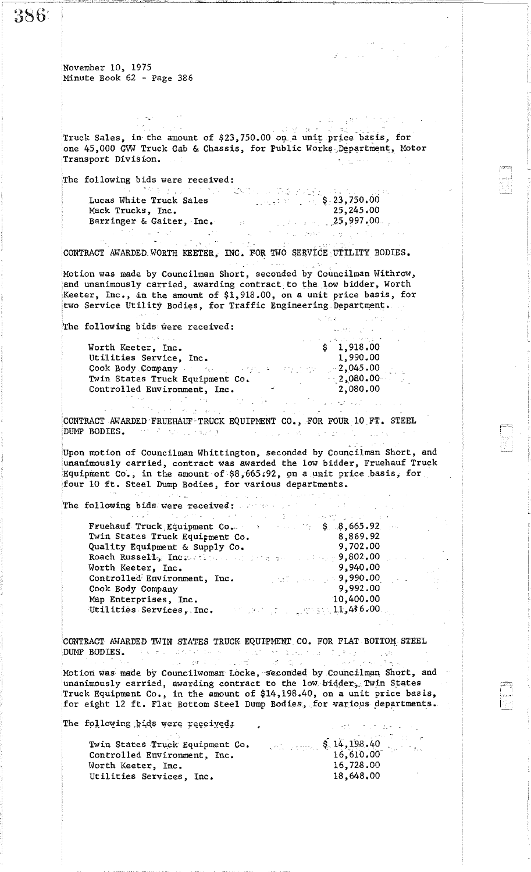386.

November 10, 1975 Minute Book 62 - Page 386

Truck Sales, in the amount of \$23,750.00 on a unit price basis, for .<br>Storie od politike one 45,000 GVW Truck Cab & Chassis, for Public Works Department, Motor Transport Division. in a ma

The following bids were received:

 $\mathcal{L} = \mathcal{L} \mathcal{L}$  .

|                          | 그는 이번 이 여러 가고 있는 이 여자는 고추 아버지가 그 집 때 못 나 부는 그 일 소리를 보고 있다. |
|--------------------------|------------------------------------------------------------|
| Lucas White Truck Sales  | $S_{\perp}$ 23,750.00                                      |
| Mack Trucks, Inc.        | 25,245.00                                                  |
| Barringer & Gaiter, Inc. | $\sim$ 25,997.00.                                          |
|                          |                                                            |

CONTRACT AWARDED WORTH KEETER, INC. FOR TWO SERVICE UTILITY BODIES.

- ' Motion was made by Councilman Short, seconded by Councilman Withrow, and unanimously carried, awarding contract to the low bidder, Worth Keeter, Inc., in the amount of  $$1,918.00$ , on a unit price basis, for two Service Utility Bodies, for Traffic Engineering Department.

 $\sqrt{2}L_{\rm X}$  .

 $\sim 10^{12}$  and  $\sim$ 

 $\label{eq:1} \left\langle \mathbf{x}+\mathbf{y}^{\star}\mathbf{z}\mathbf{z}\right\rangle =\frac{1}{2}\left\langle \mathbf{x}+\mathbf{x}\right\rangle$ 

医对称 不过 女性

The following bids were received:

|                                                                                                                                                                                                                                                                                                | 그는 아이들은 아이가 좋아하는 것을 하고 있었다. 이 사람들은 어려워 주었다. |
|------------------------------------------------------------------------------------------------------------------------------------------------------------------------------------------------------------------------------------------------------------------------------------------------|---------------------------------------------|
| Worth Keeter, Inc.                                                                                                                                                                                                                                                                             | \$1,918.00                                  |
| Utilities Service, Inc.                                                                                                                                                                                                                                                                        | 1,990.00                                    |
| Cook Body Company and $\mathbb{R}$ and $\mathbb{R}$ are $\mathbb{R}$ and $\mathbb{R}$ are $\mathbb{R}$ and $\mathbb{R}$ are $\mathbb{R}$ and $\mathbb{R}$ are $\mathbb{R}$ and $\mathbb{R}$ are $\mathbb{R}$ and $\mathbb{R}$ are $\mathbb{R}$ and $\mathbb{R}$ are $\mathbb{R}$ and $\mathbb$ |                                             |
| Twin States Truck Equipment Co.                                                                                                                                                                                                                                                                | $-2,080,00$                                 |
| Controlled Environment, Inc.                                                                                                                                                                                                                                                                   | 2,080.00                                    |
|                                                                                                                                                                                                                                                                                                |                                             |

不可能, 这个人 CONTRACT AWARDED FRUEHAUF TRUCK EQUIPMENT CO., FOR FOUR 10 FT. STEEL DUMP BODIES. THIS RESULTING IS A REPORT OF THE RESULTING OF THE RESULTING OF THE RESULTING OF THE RESULTING OF

Upon motion of Councilman Whittington, seconded by Councilman Short, and unanimously carried, contract was awarded the low bidder, Fruehauf Truck Equipment Co., in the amount of \$8,665;92, 9n a unit price basis, for four <sup>10</sup> ft. Steel Dump Bodies, for various departments.

| aar in wat neemt namb Nagenei tat sattaan pebaraharna.                                                                                                                                                                                                                                                                                                                           |                                         |  |
|----------------------------------------------------------------------------------------------------------------------------------------------------------------------------------------------------------------------------------------------------------------------------------------------------------------------------------------------------------------------------------|-----------------------------------------|--|
| $\mathcal{W}$ , and the second sequence of the sequence of the sequence of the sequence of the sequence of the sequence of the sequence of the sequence of the sequence of the sequence of the sequence of the sequence of the seq<br>The following bids were received: $\mathbb{R}^n$ and $\mathbb{R}^n$ are the set of $\mathbb{R}^n$<br>医异常性的 医血管切除术 医心包的 医心包的 医单位性脑膜 医异位性白细胞 |                                         |  |
| Fruehauf Truck Equipment Co. $\qquad \qquad$ 8. 8,665.92<br>Twin States Truck Equipment Co.<br>Quality Equipment & Supply Co.                                                                                                                                                                                                                                                    | 8,869.92<br>9,702.00                    |  |
| Roach Russell, Increasing and the property of the 9,802.00<br>Worth Keeter, Inc.<br>Controlled Environment, Inc.                                                                                                                                                                                                                                                                 | 9,940.00<br><b>DESCRIPTION 9,990.00</b> |  |
| Cook Body Company<br>Map Enterprises, Inc.<br>AM DEAN DE LA LAMPANYA 11,436.00.<br>Utilities Services, Inc.                                                                                                                                                                                                                                                                      | 9,992.00<br>10,400.00                   |  |

CONTRACT AWARDED TWIN STATES TRUCK EQUIPMENT CO. FOR FLAT BOTTOM STEEL DUMP BODIES. The state of the second service in the second of the state of the second service.<br>The second service is the service of the service in the service in the second service of the service of the se

Motion was made by Councilwoman Locke, seconded by Councilman Short, and unanimously carried, awarding contract to the low bidder, Twin States  $\sim$   $\sim$ Truck Equipment Co., in the amount of \$14,198.40, on a unit price basis, for eight 12 ft. Flat Bottom Steel Dump Bodies, for various departments.

The following hids were received:

 $\sim 10^{-1}$  .

| Twin States Truck Equipment Co. |                                                     |
|---------------------------------|-----------------------------------------------------|
| Controlled Environment, Inc.    | $\frac{1}{2}$ (and the state $\frac{1}{4}$ , 198.40 |
| Worth Keeter, Inc.              | 16,728.00                                           |
| Utilities Services, Inc.        | 18,648.00                                           |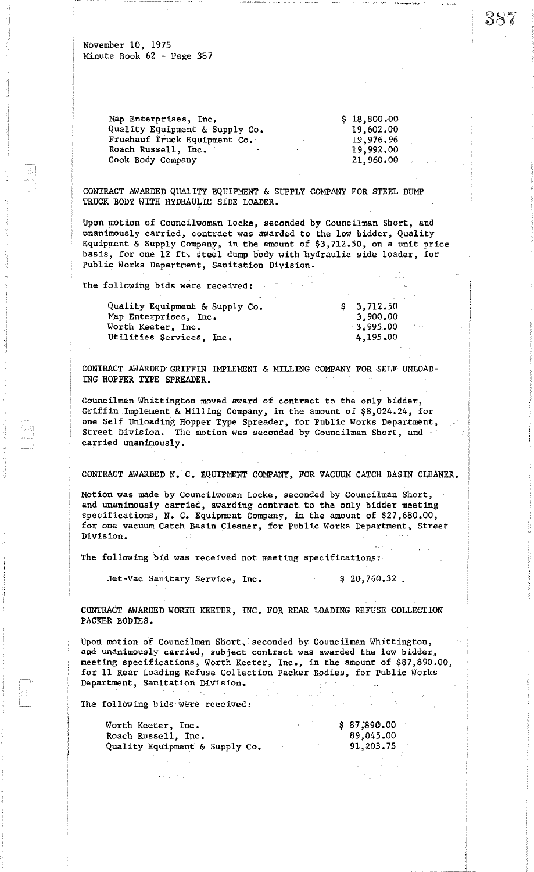| Map Enterprises, Inc.          |                   | \$18,800.00 |
|--------------------------------|-------------------|-------------|
| Quality Equipment & Supply Co. |                   | 19,602.00   |
| Fruehauf Truck Equipment Co.   | $\Delta \sim 100$ | 19,976,96   |
| Roach Russell, Inc.            |                   | 19,992,00   |
| Cook Body Company              |                   | 21,960.00   |
|                                |                   |             |

CONTRACT AWARDED QUALITY EQUIPMENT & SUPPLY COMPANY FOR STEEL DUMP TRUCK BODY WITH HYDRAULIC SIDE LOADER.

Upon motion of Councilwoman Locke, seconded by Councilman Short, and unanimously carried, contract was awarded to the low bidder, Quality Equipment & Supply Company, in the amount of \$3,712.50, on a unit price basis, for one 12 ft. steel dump body with hydraulic side loader, for Public Works Department, Sanitation Division.

The following bids were received:

| Quality Equipment & Supply Co. |  | \$3,712.50  |
|--------------------------------|--|-------------|
| Map Enterprises, Inc.          |  | 3,900.00    |
| Worth Keeter, Inc.             |  | $-3,995,00$ |
| Utilities Services, Inc.       |  | 4,195.00    |
|                                |  |             |

CONTRACT AWARDED GRIFFIN IMPLEMENT & MILLING COMPANY FOR SELF UNLOAD-ING HOPPER TYPE SPREADER.

Councilman Whittington moved award of contract to the only bidder, Griffin Implement & Milling Company, in the amount of \$8,024.24, for one Self Unloading Hopper Type Spreader, for Public Works Department, Street Division. The motion was seconded by Councilman Short, and carried unanimously.

CONTRACT AWARDED N. C. EQUIPMENT COMPANY, FOR VACUUM CATCH BASIN CLEANER.

Motion was made by Councilwoman Locke, seconded by Councilman Short, and unanimously carried, awarding contract to the only bidder meeting specifications, N. C. Equipment Company, in the amount of \$27,680.00, for one vacuum Catch Basin Cleaner, for Public Works Department, Street Division.

The following bid was received not meeting specifications:·

Jet-Vac Sanitary Service, Inc. \$ 20,760.32

 $\sqrt{1+\frac{1}{2}}$  .

CONTRACT AWARDED WORTH KEETER, INC. FOR REAR LOADING REFUSE COLLECTION PACKER BODIES.

Upon motion of Councilman Short, seconded by Councilman Whittington, and unanimously carried, subject contract was awarded the low bidder, meeting specifications, Worth Keeter, Inc., in the amount of \$87,890.00, for 11 Rear Loading Refuse Collection Packer Bodies, for public Works Department, Sanitation Division.

The following bids were received:

| Worth Keeter, Inc.             |  | \$87,890.00 |
|--------------------------------|--|-------------|
| Roach Russell, Inc.            |  | 89,045.00   |
| Quality Equipment & Supply Co. |  | 91,203,75   |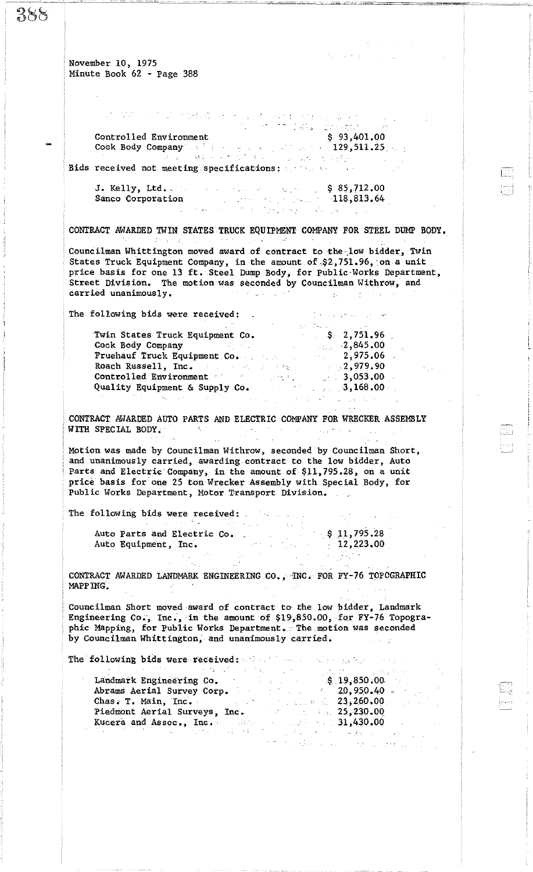.•

Controlled Environment Cook Body Company and the company of the state of the contract of the contract of the contract of the contract of the contract of the contract of the contract of the contract of the contract of the contract of the contract

 $\label{eq:2.1} \frac{1}{2} \left( \frac{1}{2} \left( \frac{1}{2} \frac{d^2}{d^2} \right) \right) \left( \frac{d^2}{d^2} \right) \left( \frac{d^2}{d^2} \right) \left( \frac{d^2}{d^2} \right) \left( \frac{d^2}{d^2} \right) \left( \frac{d^2}{d^2} \right) \left( \frac{d^2}{d^2} \right) \left( \frac{d^2}{d^2} \right) \left( \frac{d^2}{d^2} \right) \left( \frac{d^2}{d^2} \right) \left( \frac{d^2}{d^2}$ 

。<br>- 女性職務 - 2巻<br>- 女性職務 - 2巻 \$ 93,401.00  $129,511.25...$ 

The country company

 $\mathcal{L}_{\text{max}}$ 

Bids received not meeting specifications:

 $\label{eq:2.1} \mathcal{L}^{\alpha} \left( \mathfrak{g} \right) = \mathcal{L}_{\mathcal{L}} \left( \mathcal{L}^{\alpha} \right) = \mathcal{L}^{\alpha} \left( \mathcal{L}^{\alpha} \right) = \mathcal{L}^{\alpha} \left( \mathcal{L}^{\alpha} \right)$ 

J. Kelly, Ltd.\_ Sanco £orporation \$ 85,712.00 118,8l3.64.

CONTRACT AWARDED TWIN STATES TRUCK EQUIPMENT COMPANY FOR STEEL DUMP BODY.

Councilman Whittington moved award of contract to the low bidder, Twin States Truck Equipment Company, in the amount of \$2,751.96, on a unit price basis for one 13 ft. Steel Dump Body, for Public'Works Department, Street Division. The motion was seconded by Councilman Withrow, and carried unanimously. carried unanimously.  $\mathcal{L}_{\mathcal{L}}$  .

The following bids were received:

|                                                                                                                                                                                                                                                                     | 그 사람들은 그 사람들은 그 사람들을 사랑 사람들을 사랑 사람들을 만들었다.            |
|---------------------------------------------------------------------------------------------------------------------------------------------------------------------------------------------------------------------------------------------------------------------|-------------------------------------------------------|
| Twin States Truck Equipment Co.                                                                                                                                                                                                                                     | $\begin{array}{cccc} \text{S} & 2,751.96 \end{array}$ |
| Cook Body Company<br>and the control of the control of                                                                                                                                                                                                              | <b>2,845.00</b>                                       |
| <b>Fruehauf Truck Equipment Co.</b> 2,975.06                                                                                                                                                                                                                        |                                                       |
| Roach Russell, Inc. The contract of the contract of the contract of the contract of the contract of the contract of the contract of the contract of the contract of the contract of the contract of the contract of the contra                                      | 2,979,90                                              |
| Controlled Environment and the state of the state of the state of the state of the state of the state of the state of the state of the state of the state of the state of the state of the state of the state of the state of                                       | 3,053,00                                              |
| Quality Equipment & Supply Co.<br>a galan sebagai sebagai sebagai sebagai sebagai sebagai sebagai sebagai sebagai sebagai sebagai sebagai sebagai<br>Sebagai sebagai sebagai sebagai sebagai sebagai sebagai sebagai sebagai sebagai sebagai sebagai sebagai sebaga | 3,168.00                                              |
|                                                                                                                                                                                                                                                                     |                                                       |

CONTRACT AWARDED AUTO PARTS AND ELECTRIC COMPANY FOR WRECKER ASSEMBLY WITH SPECIAL BODY.  $\mathcal{L}^{\mathcal{A}}(\mathcal{A})$  , where  $\mathcal{L}^{\mathcal{A}}(\mathcal{A})$  is a subset of the set of  $\mathcal{A}$ 

Motion was made by Councilman Withrow, seconded by Councilman Short, and unanimously carried, awarding. contract to the low bidder, Auto Parts and Electric Company, in the amount of \$11,795.28, on a unit price basis for one 25 ton Wrecker Assembly with Special Body, for Public Works Department, Motor Transport Division.

The following bids were received:

| Auto Parts and Electric Co. |  | $\frac{1}{2}$ \$ 11,795.28 |
|-----------------------------|--|----------------------------|
| Auto Equipment, Inc.        |  | 12,223.00                  |

CONTRACT AWARDED LANDMARK ENGINEERING CO. ,'INC. FOR FY-76 TOPOGRAPHIC MAPPING.  $\mathcal{L}^{\text{max}}_{\text{max}}$  and  $\mathcal{L}^{\text{max}}_{\text{max}}$ 

Councilman Short moved award of contract to the low bidder, Landmark Engineering Co., Inc., in the amount of \$19,850.00, for FY-76 Topographic Mapping, for Public Works Department. The motion was seconded by Councilman Whittington, and unanimously carried.

The following bids were received: with the single service of

n<br>Mag

| 医原子 医单位静脉 电电子 化摩尔基 医类原囊 化乙基苯乙                                | しいない はっしょう こうねょきいん |
|--------------------------------------------------------------|--------------------|
| Landmark Engineering Co. 3. 19,850.00                        |                    |
| Abrams Aerial Survey Corp. 1999. The contract and 20,950.40. |                    |
| Chas. T. Main, Inc. $23,260.00$                              |                    |
| Piedmont Aerial Surveys, Inc. 25,230.00                      |                    |
| Kucera and Assoc., $Inc.$ and $Dec.$                         |                    |
|                                                              |                    |
| アンティア こうしょうほう しょうしょう きょうしょ みょう                               |                    |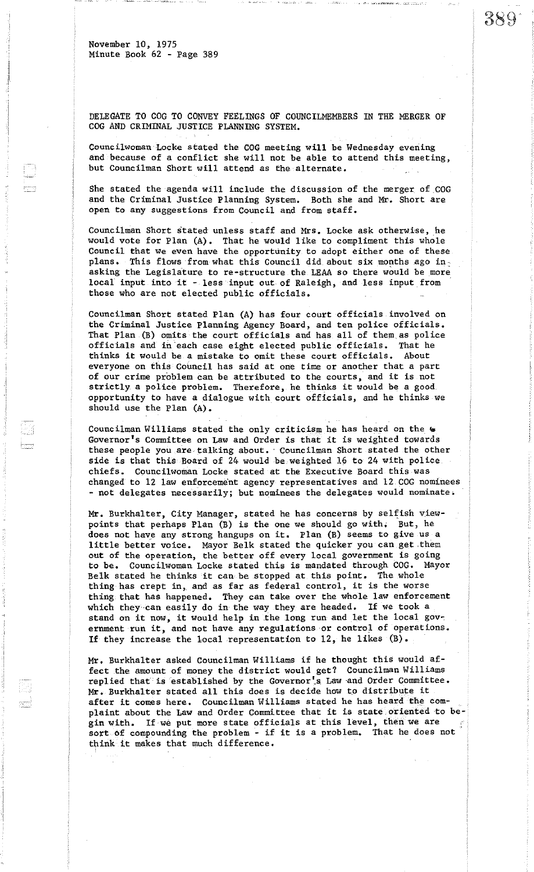DELEGATE TO COG TO CONVEY FEELINGS OF COUNCILMEMBERS IN THE MERGER OF COG AND CRIMINAL JUSTICE PLANNING SYSTEM.

389

Councilwoman Locke stated the COG meeting will be Wednesday evening and because of a conflict she will not be able to attend this meeting, but Councilman Short will attend as the alternate.

She stated the agenda will include the discussion of the merger of COG and the Criminal Justice Planning System. Both she and Mr. Short are open to any suggestions from Council and from staff.

Councilman Short stated unless staff and Mrs. Locke ask otherwise, he would vote for Plan (A). That he would like to compliment this whole Council that we even have the opportunity to adopt either one of these plans. This flows from what this Council did about six months ago inasking the Legislature to re-structure the LEAA so there would be more local input into it - less input out of Raleigh, and less input from those who are not elected public officials.

Councilman Short stated Plan (A) has four court officials involved on the Criminal Justice Planning Agency Board, and ten police officials. That Plan (B) omits the court officials and has all of them.as police officials and in'each case eight elected public officials. That he thinks it would be a mistake to omit these court officials. everyone on this Council has said at one time or another that a part of our crime problem can be attributed to the courts, and it is not strictly <sup>a</sup> police problem. Therefore, he thinks it would be <sup>a</sup> good opportunity to have a dialogue with court officials, and he thinks we should use the Plan (A).

Councilman Williams stated the only criticism he has heard on the  $*$ Governor's Committee on Law and Order is that it is weighted towards these people you are talking about. Councilman Short stated the other side is that this Board of 24 would be weighted 16 to 24 with police chiefs. Councilwoman Locke stated at the Executive Board this was changed to 12 law enforcement agency representatives and 12 COG nominees - not delegates necessarily; but nominees the delegates would nominate.

Mr. Burkhalter, City Manager, stated he has concerns by selfish viewpoints that perhaps Plan (B) is the one we should go with; But, he does not have any strong hangups on it. Plan (B) seems to give us a little better voice. Mayor Belk stated the quicker you can get.them out of the operation, the better off every local government is going to be. Councilwoman Locke stated this is mandated through COG. Mayor Belk stated he thinks it can be stopped &t this point. The whole thing has crept in, and as far as federal control, it is the worse thing that has happened. They can take over the whole law enforcement which they can easily do in the way they are headed. If we took a stand on it now, it would help in the long run and let the local government run it, and not have any regulations or control of operations. If they increase the local representation to 12, he likes (B).

Mr. Burkhalter asked Councilman Williams if he thought this would affect the amount of money the district would get? Councilman Williams replied that is established by the Governor's Law and Order Committee. Mr. Burkhalter stated all this does is decide how to distribute it after it comes here. Councilman Williams stated he has heard the complaint about the Law and Order Committee that it is state oriented to begin with. If we put more state officials at this level, then we are sort of compounding the problem - if it is <sup>a</sup> problem. That he does not think it makes that much difference.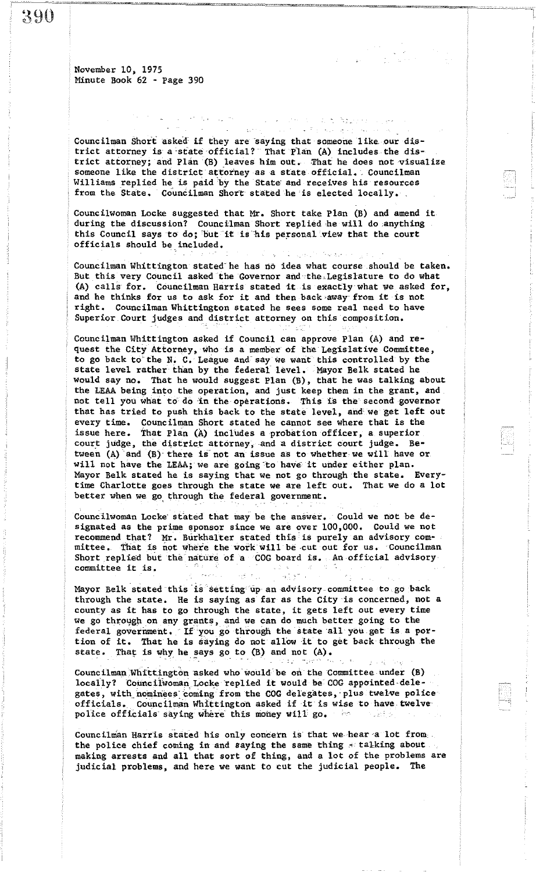390

November 10, 1975 Minute Book 62 - page 390

Councilman Short asked if they are saying that someone like our district attorney is a 'state official? That plan (A) includes the district attorney; and Plan (B) leaves him out. That he does not visualize someone like the district attorney as a state official. Councilman Williams replied he is paid by the State and receives his resources from the State. Councilman Short stated he is elected locally.

**Carlos Company Against Co** 

المرواني ك

 $\sigma^2$  ,  $N_{\rm eff}$  ,  $\sigma_{\rm eff}$  ,  $\sigma_{\rm M}$  ,

CouncilWoman Locke suggested that Mr. Short take plan (B) and amend it during the discussion? Councilman Short replied he will do anything this Council says to do; but it is his personal view that the court officials should be included.

Councilman Whittington stated he has no idea what course should be taken. But this very Council asked the Governor and the Legislature to do what (A) calls for. Councilman Harris stated it is exactly what we asked for, and he thinks for us to ask for it and then back away from it is not right. Councilman Whittington stated he sees some real need to have Superior Court judges and district attorney on this composition.

Councilman Whittington asked if Council can approve Plan (A) and request the City Attorney, who is a member of the Legislative Committee, to go back to the N. C. League and say we want this controlled by the state level rather than by the federal level. Mayor Belk stated he would say no. That he would suggest Plan (B), that he was talking about the LEAA being into the operation, and just keep them in the grant, and not tell you what to do in the operations. This is the second governor that has tried to push this back to the state level, and we get left out every time. Councilman Short stated he cannot see Where that is the issue here. that Plan (A) inclUdes a probation officer, a superior court judge, the district attorney, and a district court judge. Between (A) and (B) there is not an issue as to whether we will have or will not have the LEAA; we are going to have it under either plan. Mayor Belk stated he is saying that we not go through the state. Everytime Charlotte goes through the state we are left out. That We do a lot better when we go through the federal government.

Councilwoman Locke stated that may be the answer. Could we not be designated as the prime sponsor since we are over 100,000. Could we not recommend that? Mr. Burkhalter stated this' is purely an advisory cOmmittee. That is not where the work will be cut out for us. Councilman Short replied but the nature of a  $COG$  board is. An official advisory **committee it is.**

Mayor Belk stated this 'is setting'upanadvisory,cornmittee to go back through the state. He is saying as far as the City 'is concerned, not a county as it has to go through the state, it gets left out every time we go through on any grants, and we can do much better going to the federal government. If you go through the state all you get is a portion of it. That he is saying do not allow it to get back through the state. That is why he says go to  $(B)$  and not  $(A)$ .

Councilman Whittington asked who would be on the Committee under (B) locally? Councilwoman Locke replied it would be COG appointed delegates, with nominees coming from the COG delegates, plus twelve police officials. Councilman Whittington asked if it is wise to have twelve police officials saying where this money will go. s let s

Councilman Harris stated his only concern is that we hear a lot from; the police chief coming in and saying the same thing  $\leq$  talking about making arrests and all that sort of thing, and a lot of the problems are judicial problems, and here we want to cut the judicial people. The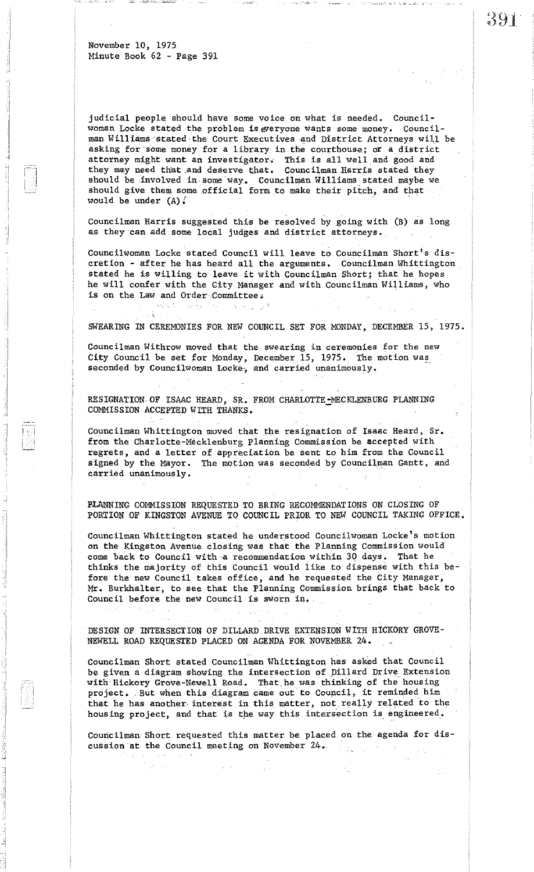$\sim$   $\!$   $\!$ 

judicial people should have some voice on what is needed. Council-Woman Locke stated the problem is everyone wants some money. Councilman Williams stated the Court Executives and District Attorneys will be asking for 'some money for a library in the courthouse; or a district attorney might want an investigator. This is all well and good and they may need that and deserve that. Councilman Harris stated they should be involved in some way. Councilman Williams stated maybe we should give them some official form to make their pitch, and that would be under  $(A)$ .

Councilman Harris suggested this be resolved by going with (B) as long as they can add some local judges and district attorneys.

Councilwoman Locke stated Council will leave to Councilman Short's discretion - after he has heard all the arguments. Councilman Whittington stated he is Willing to leave it with Councilman Short; that he hopes he will confer with the City Manager and with Councilman Williams, Who is on the Law and Order Committee .'

SWEARING IN CEREMONIES FOR NEW COUNCIL SET FOR MONDAY, DECEMBER 15, 1975.

Councilman Withrow moved that the· swearing in ceremonies for the new City Council be set for Monday, December 15, 1975. The motion was seconded by Councilwoman Locke, and carried unanimously.

RESIGNATION OF ISAAC HEARD, SR. FROM CHARLOTTE\_MECKLENBURG PLANNING COMMISSION ACCEPTED WITH THANKS.

Councilman Whittington moved that the resignation of Isaac Heard, Sr. from the Charlotte-Mecklenburg Planning Commission be accepted with regrets, and a letter of appreciation be sent to him from the Council signed by the Mayor. The motion was seconded by Councilman Gantt, and carried unanimously.

PLANNING COMMISSION REQUESTED TO BRING RECOMMENDATIONS ON CLOSING OF PORTION OF KINGSTON AVENUE TO COUNCIL PRIOR TO NEW COUNCIL TAKING OFFICE.

Councilman Whittington stated he understood Councilwoman Locke's motion on the Kingston Avenue closing was that the Planning Commission would come back to Council with-a recommendation within 30 days. That he thinks the majority of this Council would like to dispense with this before the new Council takes office, and he requested the City Manager, Mr. Burkhalter, to see that the Planning Commission brings that back to Council before the new Council is sWorn in, '

DESIGN OF INTERSECTION OF DILLARD DRIVE EXTENSION WITH HICKORY GROVE-NEWELL ROAD REQUESTED PLACED ON AGENDA FOR NOVEMBER 24.

Councilman Short stated Councilman Whittington has asked that Council be given a diagram showing the intersection of Dillard Drive Extension with Hickory Grove-Newell Road. That,he was thinking of the housing project. But when this diagram came out to Council, it reminded him that he has another interest in this matter, not really related to the housing project, and that is the way this intersection is engineered.

Councilman Short requested this matter be placed on the agenda for discussion'at the Council meeting on November 24.

391